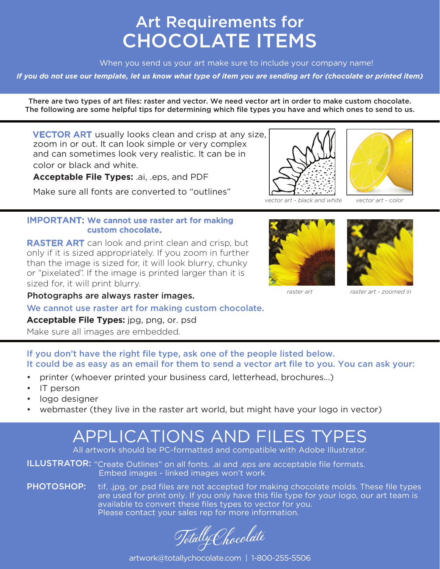### Art Requirements for CHOCOLATE ITEMS

When you send us your art make sure to include your company name!

*If you do not use our template, let us know what type of item you are sending art for (chocolate or printed item)* 

There are two types of art fles: raster and vector. We need vector art in order to make custom chocolate. The following are some helpful tips for determining which file types you have and which ones to send to us.

**VECTOR ART** usually looks clean and crisp at any size, zoom in or out. It can look simple or very complex and can sometimes look very realistic. It can be in color or black and white.

**Acceptable File Types:** .ai, .eps, and PDF

Make sure all fonts are converted to "outlines"



*vector art - black and white vector art - color* 

#### IMPORTANT: We cannot use raster art for making custom chocolate.

 or "pixelated". If the image is printed larger than it is sized for, it will print blurry. **RASTER ART** can look and print clean and crisp, but only if it is sized appropriately. If you zoom in further than the image is sized for, it will look blurry, chunky





**Photographs are always raster images.** The *raster art raster art - zoomed in* **Photographs are always raster images.** 

We cannot use raster art for making custom chocolate.

**Acceptable File Types:** jpg, png, or. psd

Make sure all images are embedded.

If you don't have the right file type, ask one of the people listed below. It could be as easy as an email for them to send a vector art file to you. You can ask your:

- printer (whoever printed your business card, letterhead, brochures...)
- IT person
- logo designer
- webmaster (they live in the raster art world, but might have your logo in vector)

## APPLICATIONS AND FILES TYPES

All artwork should be PC-formatted and compatible with Adobe Illustrator.

**ILLUSTRATOR:** "Create Outlines" on all fonts. .ai and leps are acceptable file formats. Embed images - linked images won't work

**PHOTOSHOP:** tif, .jpg, or .psd files are not accepted for making chocolate molds. These file types are used for print only. If you only have this file type for your logo, our art team is available to convert these files types to vector for you. Please contact your sales rep for more information.

TotallyChocolate

[artwork@totallychocolate.com](mailto:artwork@totallychocolate.com) | 1-800-255-5506